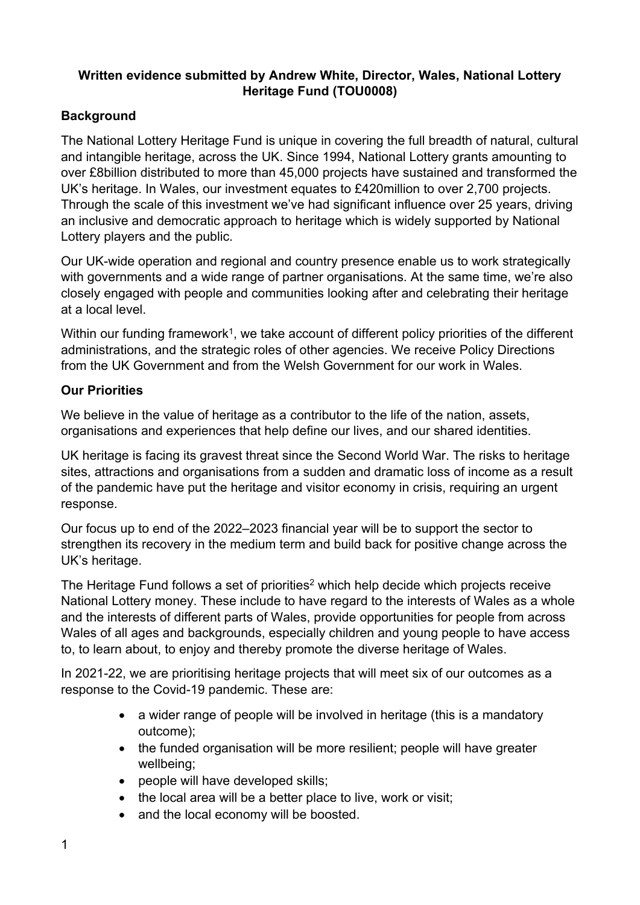# **Written evidence submitted by Andrew White, Director, Wales, National Lottery Heritage Fund (TOU0008)**

# **Background**

The National Lottery Heritage Fund is unique in covering the full breadth of natural, cultural and intangible heritage, across the UK. Since 1994, National Lottery grants amounting to over £8billion distributed to more than 45,000 projects have sustained and transformed the UK's heritage. In Wales, our investment equates to £420million to over 2,700 projects. Through the scale of this investment we've had significant influence over 25 years, driving an inclusive and democratic approach to heritage which is widely supported by National Lottery players and the public.

Our UK-wide operation and regional and country presence enable us to work strategically with governments and a wide range of partner organisations. At the same time, we're also closely engaged with people and communities looking after and celebrating their heritage at a local level.

Within our funding framework<sup>1</sup>, we take account of different policy priorities of the different administrations, and the strategic roles of other agencies. We receive Policy Directions from the UK Government and from the Welsh Government for our work in Wales.

### **Our Priorities**

We believe in the value of heritage as a contributor to the life of the nation, assets, organisations and experiences that help define our lives, and our shared identities.

UK heritage is facing its gravest threat since the Second World War. The risks to heritage sites, attractions and organisations from a sudden and dramatic loss of income as a result of the pandemic have put the heritage and visitor economy in crisis, requiring an urgent response.

Our focus up to end of the 2022–2023 financial year will be to support the sector to strengthen its recovery in the medium term and build back for positive change across the UK's heritage.

The Heritage Fund follows a set of priorities<sup>2</sup> which help decide which projects receive National Lottery money. These include to have regard to the interests of Wales as a whole and the interests of different parts of Wales, provide opportunities for people from across Wales of all ages and backgrounds, especially children and young people to have access to, to learn about, to enjoy and thereby promote the diverse heritage of Wales.

In 2021-22, we are prioritising heritage projects that will meet six of our outcomes as a response to the Covid-19 pandemic. These are:

- a wider range of people will be involved in heritage (this is a mandatory outcome);
- the funded organisation will be more resilient; people will have greater wellbeing;
- people will have developed skills;
- the local area will be a better place to live, work or visit;
- and the local economy will be boosted.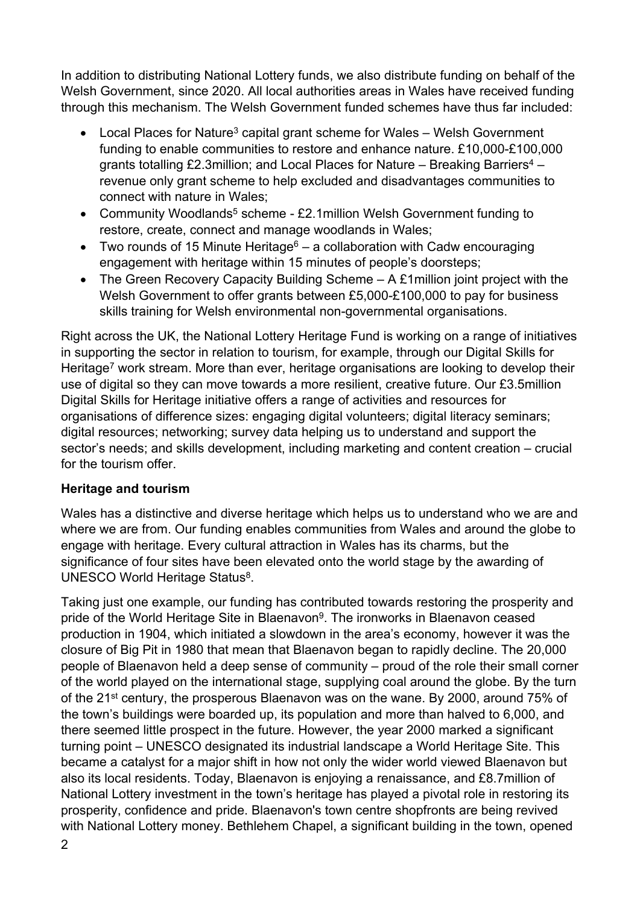In addition to distributing National Lottery funds, we also distribute funding on behalf of the Welsh Government, since 2020. All local authorities areas in Wales have received funding through this mechanism. The Welsh Government funded schemes have thus far included:

- Local Places for Nature<sup>3</sup> capital grant scheme for Wales Welsh Government funding to enable communities to restore and enhance nature. £10,000-£100,000 grants totalling £2.3million; and Local Places for Nature – Breaking Barriers<sup>4</sup> – revenue only grant scheme to help excluded and disadvantages communities to connect with nature in Wales;
- Community Woodlands<sup>5</sup> scheme £2.1 million Welsh Government funding to restore, create, connect and manage woodlands in Wales;
- Two rounds of 15 Minute Heritage<sup>6</sup> a collaboration with Cadw encouraging engagement with heritage within 15 minutes of people's doorsteps;
- The Green Recovery Capacity Building Scheme A £1million joint project with the Welsh Government to offer grants between £5,000-£100,000 to pay for business skills training for Welsh environmental non-governmental organisations.

Right across the UK, the National Lottery Heritage Fund is working on a range of initiatives in supporting the sector in relation to tourism, for example, through our Digital Skills for Heritage<sup>7</sup> work stream. More than ever, heritage organisations are looking to develop their use of digital so they can move towards a more resilient, creative future. Our £3.5million Digital Skills for Heritage initiative offers a range of activities and resources for organisations of difference sizes: engaging digital volunteers; digital literacy seminars; digital resources; networking; survey data helping us to understand and support the sector's needs; and skills development, including marketing and content creation – crucial for the tourism offer.

# **Heritage and tourism**

Wales has a distinctive and diverse heritage which helps us to understand who we are and where we are from. Our funding enables communities from Wales and around the globe to engage with heritage. Every cultural attraction in Wales has its charms, but the significance of four sites have been elevated onto the world stage by the awarding of UNESCO World Heritage Status<sup>8</sup>.

Taking just one example, our funding has contributed towards restoring the prosperity and pride of the World Heritage Site in Blaenavon<sup>9</sup>. The ironworks in Blaenavon ceased production in 1904, which initiated a slowdown in the area's economy, however it was the closure of Big Pit in 1980 that mean that Blaenavon began to rapidly decline. The 20,000 people of Blaenavon held a deep sense of community – proud of the role their small corner of the world played on the international stage, supplying coal around the globe. By the turn of the 21st century, the prosperous Blaenavon was on the wane. By 2000, around 75% of the town's buildings were boarded up, its population and more than halved to 6,000, and there seemed little prospect in the future. However, the year 2000 marked a significant turning point – UNESCO designated its industrial landscape a World Heritage Site. This became a catalyst for a major shift in how not only the wider world viewed Blaenavon but also its local residents. Today, Blaenavon is enjoying a renaissance, and £8.7million of National Lottery investment in the town's heritage has played a pivotal role in restoring its prosperity, confidence and pride. Blaenavon's town centre shopfronts are being revived with National Lottery money. Bethlehem Chapel, a significant building in the town, opened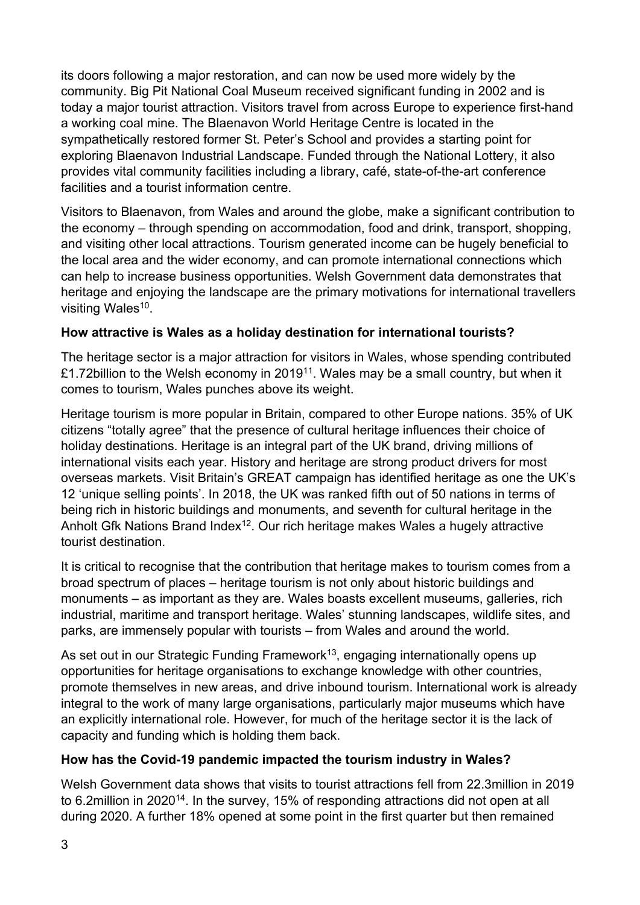its doors following a major restoration, and can now be used more widely by the community. Big Pit National Coal Museum received significant funding in 2002 and is today a major tourist attraction. Visitors travel from across Europe to experience first-hand a working coal mine. The Blaenavon World Heritage Centre is located in the sympathetically restored former St. Peter's School and provides a starting point for exploring Blaenavon Industrial Landscape. Funded through the National Lottery, it also provides vital community facilities including a library, café, state-of-the-art conference facilities and a tourist information centre.

Visitors to Blaenavon, from Wales and around the globe, make a significant contribution to the economy – through spending on accommodation, food and drink, transport, shopping, and visiting other local attractions. Tourism generated income can be hugely beneficial to the local area and the wider economy, and can promote international connections which can help to increase business opportunities. Welsh Government data demonstrates that heritage and enjoying the landscape are the primary motivations for international travellers visiting Wales<sup>10</sup>.

### **How attractive is Wales as a holiday destination for international tourists?**

The heritage sector is a major attraction for visitors in Wales, whose spending contributed £1.72billion to the Welsh economy in 2019<sup>11</sup>. Wales may be a small country, but when it comes to tourism, Wales punches above its weight.

Heritage tourism is more popular in Britain, compared to other Europe nations. 35% of UK citizens "totally agree" that the presence of cultural heritage influences their choice of holiday destinations. Heritage is an integral part of the UK brand, driving millions of international visits each year. History and heritage are strong product drivers for most overseas markets. Visit Britain's GREAT campaign has identified heritage as one the UK's 12 'unique selling points'. In 2018, the UK was ranked fifth out of 50 nations in terms of being rich in historic buildings and monuments, and seventh for cultural heritage in the Anholt Gfk Nations Brand Index<sup>12</sup>. Our rich heritage makes Wales a hugely attractive tourist destination.

It is critical to recognise that the contribution that heritage makes to tourism comes from a broad spectrum of places – heritage tourism is not only about historic buildings and monuments – as important as they are. Wales boasts excellent museums, galleries, rich industrial, maritime and transport heritage. Wales' stunning landscapes, wildlife sites, and parks, are immensely popular with tourists – from Wales and around the world.

As set out in our Strategic Funding Framework<sup>13</sup>, engaging internationally opens up opportunities for heritage organisations to exchange knowledge with other countries, promote themselves in new areas, and drive inbound tourism. International work is already integral to the work of many large organisations, particularly major museums which have an explicitly international role. However, for much of the heritage sector it is the lack of capacity and funding which is holding them back.

#### **How has the Covid-19 pandemic impacted the tourism industry in Wales?**

Welsh Government data shows that visits to tourist attractions fell from 22.3million in 2019 to 6.2million in 2020<sup>14</sup>. In the survey, 15% of responding attractions did not open at all during 2020. A further 18% opened at some point in the first quarter but then remained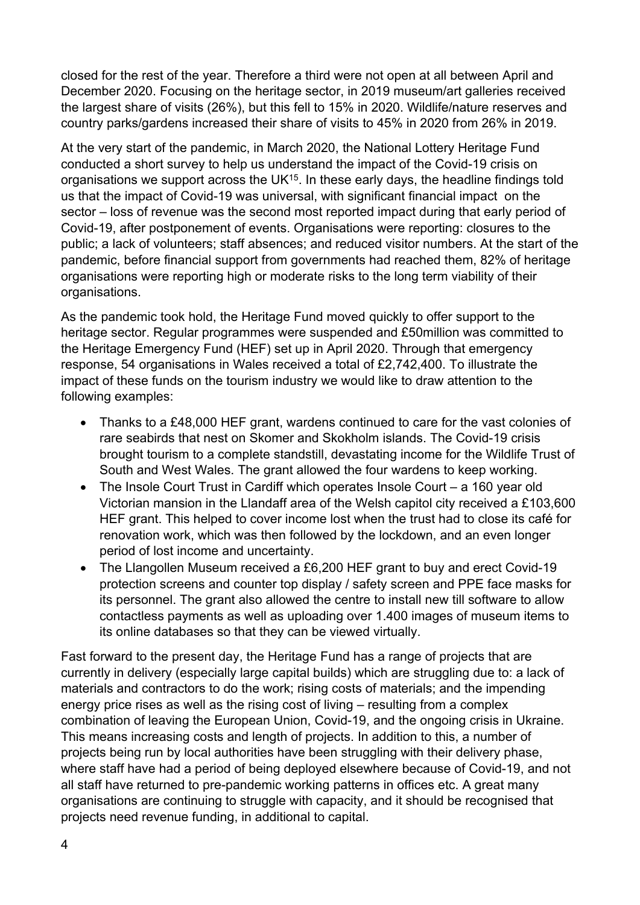closed for the rest of the year. Therefore a third were not open at all between April and December 2020. Focusing on the heritage sector, in 2019 museum/art galleries received the largest share of visits (26%), but this fell to 15% in 2020. Wildlife/nature reserves and country parks/gardens increased their share of visits to 45% in 2020 from 26% in 2019.

At the very start of the pandemic, in March 2020, the National Lottery Heritage Fund conducted a short survey to help us understand the impact of the Covid-19 crisis on organisations we support across the UK<sup>15</sup>. In these early days, the headline findings told us that the impact of Covid-19 was universal, with significant financial impact on the sector – loss of revenue was the second most reported impact during that early period of Covid-19, after postponement of events. Organisations were reporting: closures to the public; a lack of volunteers; staff absences; and reduced visitor numbers. At the start of the pandemic, before financial support from governments had reached them, 82% of heritage organisations were reporting high or moderate risks to the long term viability of their organisations.

As the pandemic took hold, the Heritage Fund moved quickly to offer support to the heritage sector. Regular programmes were suspended and £50million was committed to the Heritage Emergency Fund (HEF) set up in April 2020. Through that emergency response, 54 organisations in Wales received a total of £2,742,400. To illustrate the impact of these funds on the tourism industry we would like to draw attention to the following examples:

- Thanks to a £48,000 HEF grant, wardens continued to care for the vast colonies of rare seabirds that nest on Skomer and Skokholm islands. The Covid-19 crisis brought tourism to a complete standstill, devastating income for the Wildlife Trust of South and West Wales. The grant allowed the four wardens to keep working.
- The Insole Court Trust in Cardiff which operates Insole Court a 160 year old Victorian mansion in the Llandaff area of the Welsh capitol city received a £103,600 HEF grant. This helped to cover income lost when the trust had to close its café for renovation work, which was then followed by the lockdown, and an even longer period of lost income and uncertainty.
- The Llangollen Museum received a £6,200 HEF grant to buy and erect Covid-19 protection screens and counter top display / safety screen and PPE face masks for its personnel. The grant also allowed the centre to install new till software to allow contactless payments as well as uploading over 1.400 images of museum items to its online databases so that they can be viewed virtually.

Fast forward to the present day, the Heritage Fund has a range of projects that are currently in delivery (especially large capital builds) which are struggling due to: a lack of materials and contractors to do the work; rising costs of materials; and the impending energy price rises as well as the rising cost of living – resulting from a complex combination of leaving the European Union, Covid-19, and the ongoing crisis in Ukraine. This means increasing costs and length of projects. In addition to this, a number of projects being run by local authorities have been struggling with their delivery phase, where staff have had a period of being deployed elsewhere because of Covid-19, and not all staff have returned to pre-pandemic working patterns in offices etc. A great many organisations are continuing to struggle with capacity, and it should be recognised that projects need revenue funding, in additional to capital.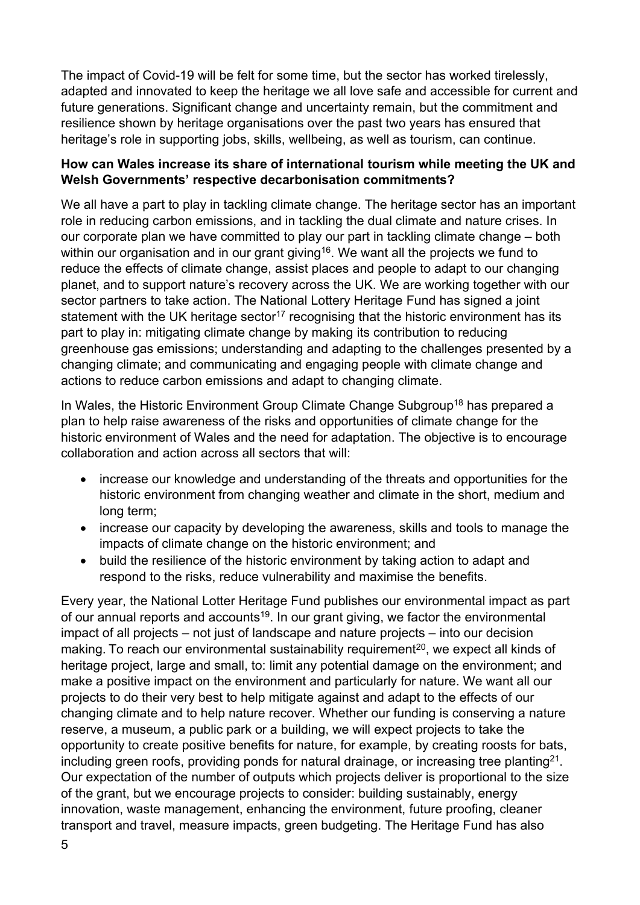The impact of Covid-19 will be felt for some time, but the sector has worked tirelessly, adapted and innovated to keep the heritage we all love safe and accessible for current and future generations. Significant change and uncertainty remain, but the commitment and resilience shown by heritage organisations over the past two years has ensured that heritage's role in supporting jobs, skills, wellbeing, as well as tourism, can continue.

#### **How can Wales increase its share of international tourism while meeting the UK and Welsh Governments' respective decarbonisation commitments?**

We all have a part to play in tackling climate change. The heritage sector has an important role in reducing carbon emissions, and in tackling the dual climate and nature crises. In our corporate plan we have committed to play our part in tackling climate change – both within our organisation and in our grant giving<sup>16</sup>. We want all the projects we fund to reduce the effects of climate change, assist places and people to adapt to our changing planet, and to support nature's recovery across the UK. We are working together with our sector partners to take action. The National Lottery Heritage Fund has signed a joint statement with the UK heritage sector<sup>17</sup> recognising that the historic environment has its part to play in: mitigating climate change by making its contribution to reducing greenhouse gas emissions; understanding and adapting to the challenges presented by a changing climate; and communicating and engaging people with climate change and actions to reduce carbon emissions and adapt to changing climate.

In Wales, the Historic Environment Group Climate Change Subgroup<sup>18</sup> has prepared a plan to help raise awareness of the risks and opportunities of climate change for the historic environment of Wales and the need for adaptation. The objective is to encourage collaboration and action across all sectors that will:

- increase our knowledge and understanding of the threats and opportunities for the historic environment from changing weather and climate in the short, medium and long term;
- increase our capacity by developing the awareness, skills and tools to manage the impacts of climate change on the historic environment; and
- build the resilience of the historic environment by taking action to adapt and respond to the risks, reduce vulnerability and maximise the benefits.

Every year, the National Lotter Heritage Fund publishes our environmental impact as part of our annual reports and accounts<sup>19</sup>. In our grant giving, we factor the environmental impact of all projects – not just of landscape and nature projects – into our decision making. To reach our environmental sustainability requirement<sup>20</sup>, we expect all kinds of heritage project, large and small, to: limit any potential damage on the environment; and make a positive impact on the environment and particularly for nature. We want all our projects to do their very best to help mitigate against and adapt to the effects of our changing climate and to help nature recover. Whether our funding is conserving a nature reserve, a museum, a public park or a building, we will expect projects to take the opportunity to create positive benefits for nature, for example, by creating roosts for bats, including green roofs, providing ponds for natural drainage, or increasing tree planting<sup>21</sup>. Our expectation of the number of outputs which projects deliver is proportional to the size of the grant, but we encourage projects to consider: building sustainably, energy innovation, waste management, enhancing the environment, future proofing, cleaner transport and travel, measure impacts, green budgeting. The Heritage Fund has also